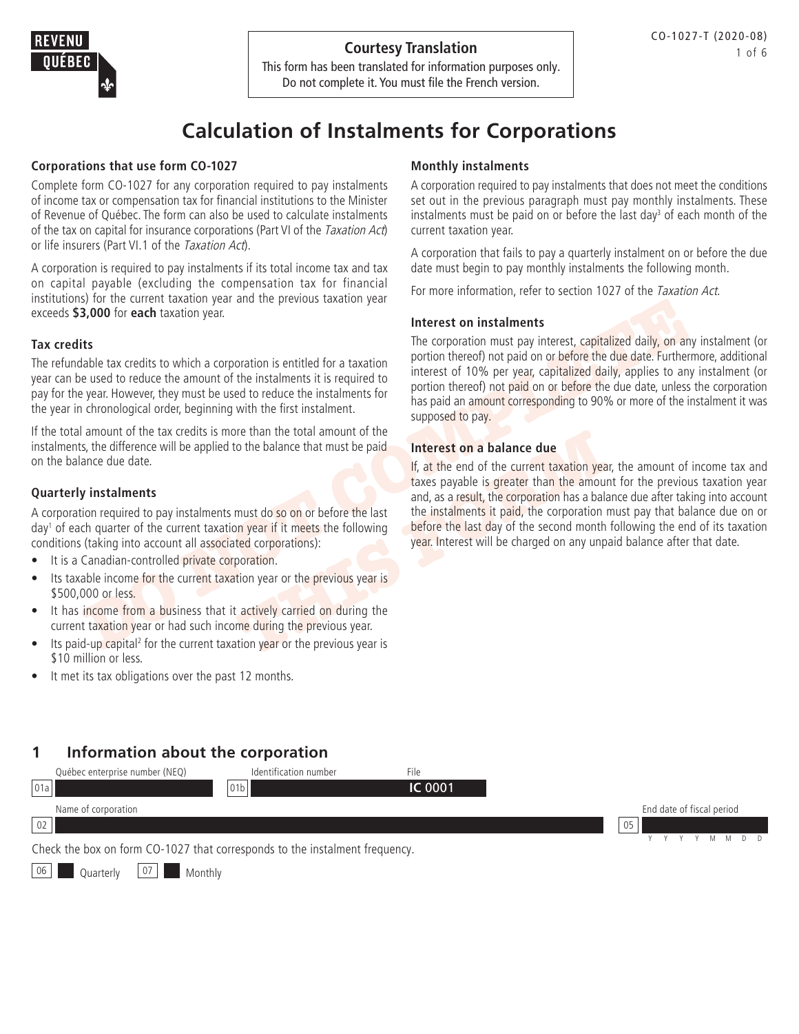

This form has been translated for information purposes only. Do not complete it. You must file the French version.

# **Calculation of Instalments for Corporations**

### **Corporations that use form CO-1027**

Complete form CO-1027 for any corporation required to pay instalments of income tax or compensation tax for financial institutions to the Minister of Revenue of Québec. The form can also be used to calculate instalments of the tax on capital for insurance corporations (Part VI of the Taxation Act) or life insurers (Part VI.1 of the Taxation Act).

A corporation is required to pay instalments if its total income tax and tax on capital payable (excluding the compensation tax for financial institutions) for the current taxation year and the previous taxation year exceeds **\$3,000** for **each** taxation year.

### **Tax credits**

The refundable tax credits to which a corporation is entitled for a taxation year can be used to reduce the amount of the instalments it is required to pay for the year. However, they must be used to reduce the instalments for the year in chronological order, beginning with the first instalment.

If the total amount of the tax credits is more than the total amount of the instalments, the difference will be applied to the balance that must be paid on the balance due date.

### **Quarterly instalments**

A corporation required to pay instalments must do so on or before the last day<sup>1</sup> of each quarter of the current taxation year if it meets the following conditions (taking into account all associated corporations):

- It is a Canadian-controlled private corporation.
- Its taxable income for the current taxation year or the previous year is \$500,000 or less.
- It has income from a business that it actively carried on during the current taxation year or had such income during the previous year.
- Its paid-up capital<sup>2</sup> for the current taxation year or the previous year is \$10 million or less.
- It met its tax obligations over the past 12 months.

#### **Monthly instalments**

A corporation required to pay instalments that does not meet the conditions set out in the previous paragraph must pay monthly instalments. These instalments must be paid on or before the last day<sup>3</sup> of each month of the current taxation year.

A corporation that fails to pay a quarterly instalment on or before the due date must begin to pay monthly instalments the following month.

For more information, refer to section 1027 of the Taxation Act.

### **Interest on instalments**

**DO** for each taxation year.<br> **DEVENIEE AS ANOTE CONSECT THE CONSECT THE CONSECT THE CONSECT THE CONSECT THE CONSECT THE CONSECT THE CONSECT THANGED AND THE CONSECT THE USE CONSECT THE USE ON THE VEHICLE THE VEHICLE THE VE** The corporation must pay interest, capitalized daily, on any instalment (or portion thereof) not paid on or before the due date. Furthermore, additional interest of 10% per year, capitalized daily, applies to any instalment (or portion thereof) not paid on or before the due date, unless the corporation has paid an amount corresponding to 90% or more of the instalment it was supposed to pay.

#### **Interest on a balance due**

If the total amount of the<br>
o the balance that must be paid<br>
If, at the end of the current taxation year<br>
If at the end of the current taxation year<br>
and, as a result, the corporation has a balance<br>
must do so on or before If, at the end of the current taxation year, the amount of income tax and taxes payable is greater than the amount for the previous taxation year and, as a result, the corporation has a balance due after taking into account the instalments it paid, the corporation must pay that balance due on or before the last day of the second month following the end of its taxation year. Interest will be charged on any unpaid balance after that date.

# **1 Information about the corporation**



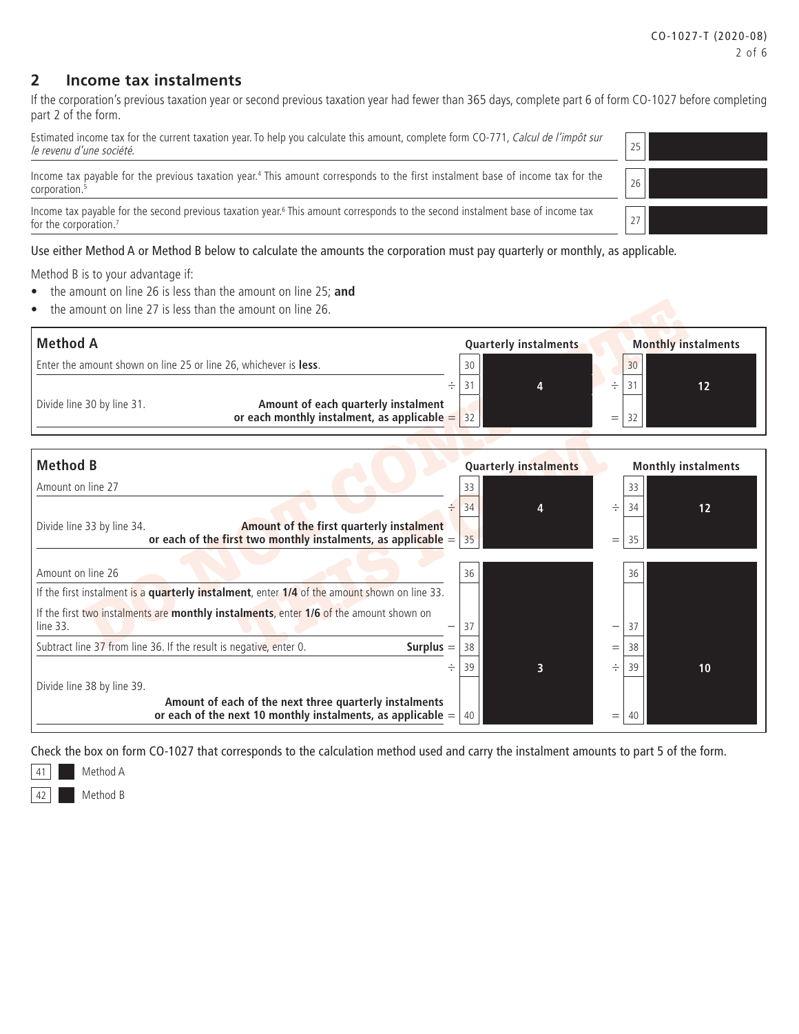### **2 Income tax instalments**

If the corporation's previous taxation year or second previous taxation year had fewer than 365 days, complete part 6 of form CO-1027 before completing part 2 of the form.

Estimated income tax for the current taxation year. To help you calculate this amount, complete form CO-771, Calcul de l'impôt sur le revenu d'une société.

Income tax payable for the previous taxation year.<sup>4</sup> This amount corresponds to the first instalment base of income tax for the  $\Bigg\vert 26$ 

Income tax payable for the second previous taxation year.<sup>6</sup> This amount corresponds to the second instalment base of income tax for the corporation. $7$ 

#### Use either Method A or Method B below to calculate the amounts the corporation must pay quarterly or monthly, as applicable.

Method B is to your advantage if:

- the amount on line 26 is less than the amount on line 25; **and**
- the amount on line 27 is less than the amount on line 26.



Check the box on form CO-1027 that corresponds to the calculation method used and carry the instalment amounts to part 5 of the form.

Method A

Method B

| 25 |  |
|----|--|
| 26 |  |
| 27 |  |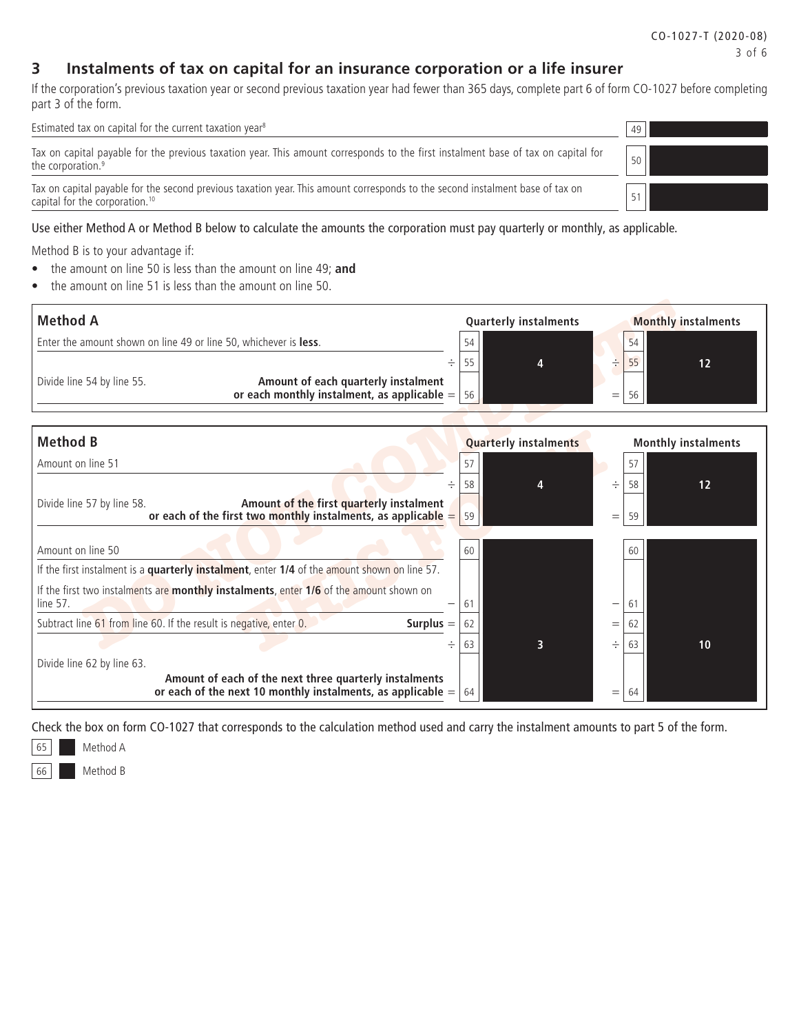### **3 Instalments of tax on capital for an insurance corporation or a life insurer**

If the corporation's previous taxation year or second previous taxation year had fewer than 365 days, complete part 6 of form CO-1027 before completing part 3 of the form.

Estimated tax on capital for the current taxation year<sup>8</sup>  $49$ Tax on capital payable for the previous taxation year. This amount corresponds to the first instalment base of tax on capital for the corporation.<sup>9</sup> 50 Tax on capital payable for the second previous taxation year. This amount corresponds to the second instalment base of tax on as on capital for the corporation.<sup>10</sup> 51

#### Use either Method A or Method B below to calculate the amounts the corporation must pay quarterly or monthly, as applicable.

Method B is to your advantage if:

- the amount on line 50 is less than the amount on line 49; **and**
- the amount on line 51 is less than the amount on line 50.



| Amount on line 50                                                                                                                | -60 |  |     | 60 |    |
|----------------------------------------------------------------------------------------------------------------------------------|-----|--|-----|----|----|
| If the first instalment is a quarterly instalment, enter 1/4 of the amount shown on line 57.                                     |     |  |     |    |    |
| If the first two instalments are monthly instalments, enter 1/6 of the amount shown on<br>line 57.<br>$\qquad \qquad$            | 6   |  | —   | 6. |    |
| Subtract line 61 from line 60. If the result is negative, enter 0.<br>Surplus $=$                                                |     |  | Ξ   | 62 |    |
| ÷                                                                                                                                | 63  |  |     | 63 | 10 |
| Divide line 62 by line 63.                                                                                                       |     |  |     |    |    |
| Amount of each of the next three quarterly instalments<br>or each of the next 10 monthly instalments, as applicable = $\vert$ 64 |     |  | $=$ | 64 |    |

Check the box on form CO-1027 that corresponds to the calculation method used and carry the instalment amounts to part 5 of the form.



66 Method B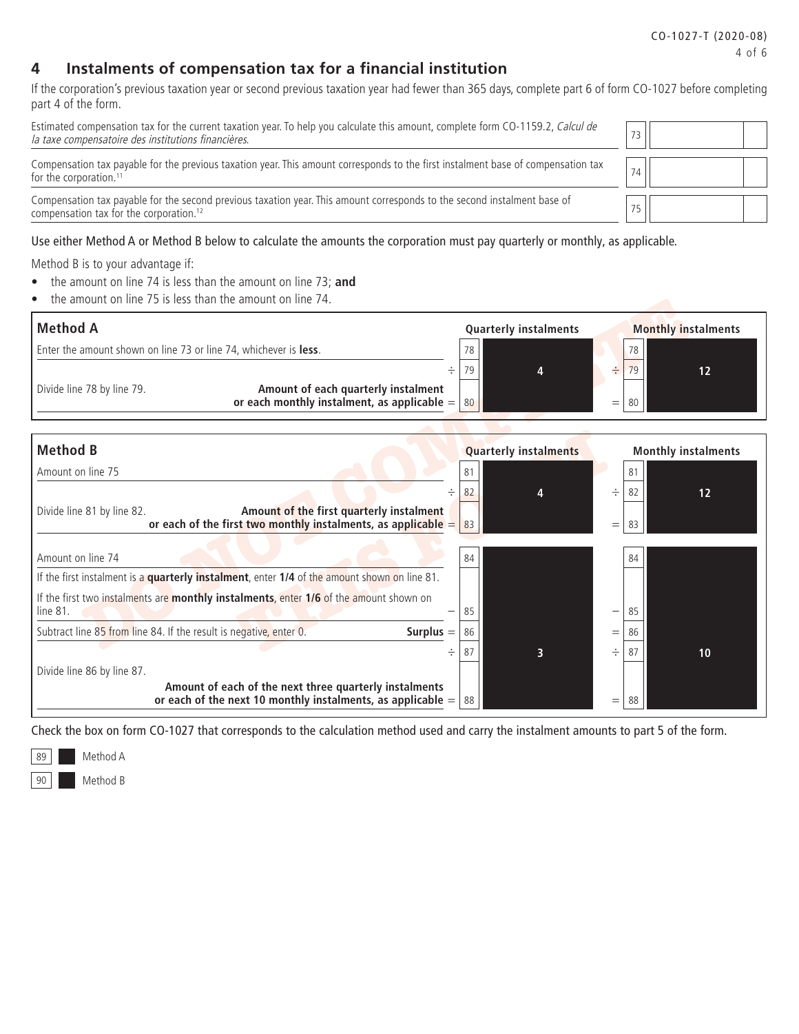# **4 Instalments of compensation tax for a financial institution**

If the corporation's previous taxation year or second previous taxation year had fewer than 365 days, complete part 6 of form CO-1027 before completing part 4 of the form.

| Estimated compensation tax for the current taxation year. To help you calculate this amount, complete form CO-1159.2, Calcul de<br>la taxe compensatoire des institutions financières. |    |  |
|----------------------------------------------------------------------------------------------------------------------------------------------------------------------------------------|----|--|
| Compensation tax payable for the previous taxation year. This amount corresponds to the first instalment base of compensation tax<br>for the corporation. <sup>11</sup>                | 74 |  |
| Compensation tax payable for the second previous taxation year. This amount corresponds to the second instalment base of<br>compensation tax for the corporation. <sup>12</sup>        | 75 |  |

Use either Method A or Method B below to calculate the amounts the corporation must pay quarterly or monthly, as applicable.

Method B is to your advantage if:

- the amount on line 74 is less than the amount on line 73; **and**
- the amount on line 75 is less than the amount on line 74.

| <b>Method A</b>                                                                                                                           | <b>Quarterly instalments</b> |     |          | <b>Monthly instalments</b> |
|-------------------------------------------------------------------------------------------------------------------------------------------|------------------------------|-----|----------|----------------------------|
| Enter the amount shown on line 73 or line 74, whichever is <b>less</b> .                                                                  | 78                           |     | 78       |                            |
| ÷<br>Divide line 78 by line 79.<br>Amount of each quarterly instalment<br>or each monthly instalment, as applicable $=$                   | 79<br>80                     | $=$ | 79<br>80 | 12                         |
| <b>Method B</b>                                                                                                                           | <b>Quarterly instalments</b> |     |          | <b>Monthly instalments</b> |
| Amount on line 75                                                                                                                         | 81                           |     | 81       |                            |
| ÷                                                                                                                                         | 82                           | ÷   | 82       | 12                         |
| Amount of the first quarterly instalment<br>Divide line 81 by line 82.<br>or each of the first two monthly instalments, as applicable $=$ | 83                           | $=$ | 83       |                            |
| Amount on line 74                                                                                                                         | 84                           |     | 84       |                            |
| If the first instalment is a quarterly instalment, enter 1/4 of the amount shown on line 81.                                              |                              |     |          |                            |
| If the first two instalments are monthly instalments, enter 1/6 of the amount shown on<br>line 81.                                        | 85                           | —   | 85       |                            |
| Subtract line 85 from line 84. If the result is negative, enter 0.<br>Surplus $=$                                                         | 86                           | $=$ | 86       |                            |
| ÷                                                                                                                                         | 87<br>3                      | ÷   | 87       | 10                         |
| Divide line 86 by line 87.                                                                                                                |                              |     |          |                            |
| Amount of each of the next three quarterly instalments<br>or each of the next 10 monthly instalments, as applicable $=$                   | 88                           | $=$ | 88       |                            |

Check the box on form CO-1027 that corresponds to the calculation method used and carry the instalment amounts to part 5 of the form.

89 Method A

90 Method B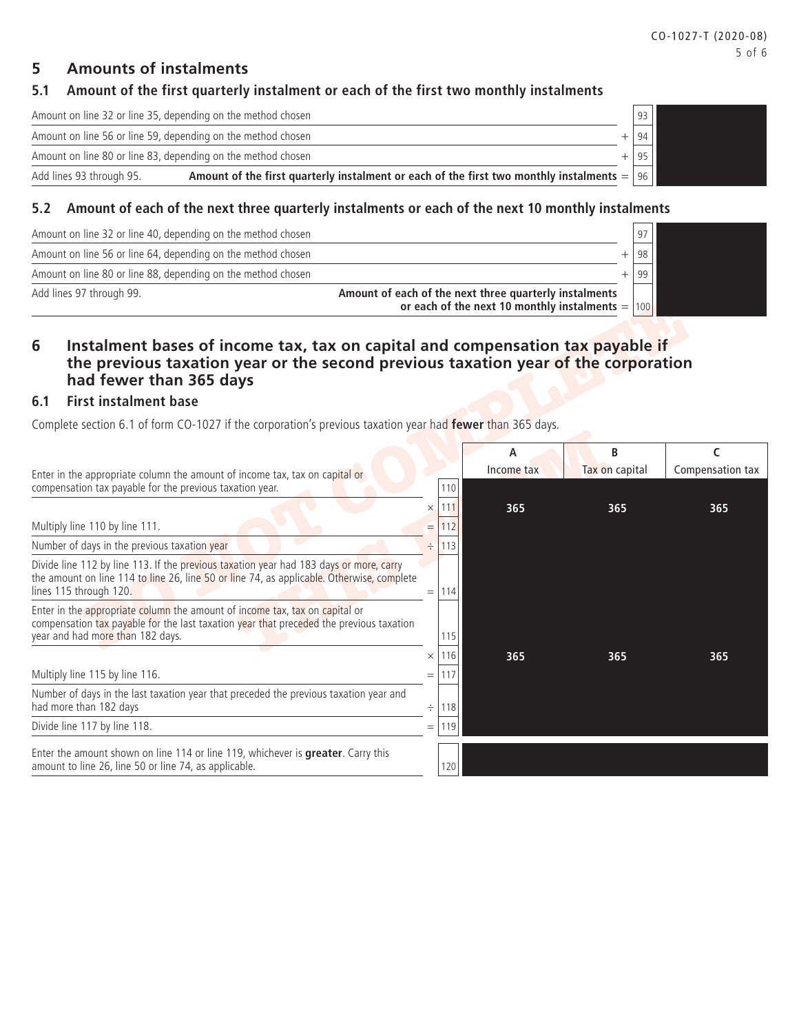### **5 Amounts of instalments**

# **5.1 Amount of the first quarterly instalment or each of the first two monthly instalments**

Amount on line 32 or line 35, depending on the method chosen  $\vert$  93

| Amount on line 56 or line 59, depending on the method chosen |                                                                                                | 94 |
|--------------------------------------------------------------|------------------------------------------------------------------------------------------------|----|
| Amount on line 80 or line 83, depending on the method chosen |                                                                                                | 95 |
| Add lines 93 through 95.                                     | Amount of the first quarterly instalment or each of the first two monthly instalments = $ 96 $ |    |
|                                                              |                                                                                                |    |

### **5.2 Amount of each of the next three quarterly instalments or each of the next 10 monthly instalments**

| Add lines 97 through 99.                                     | Amount of each of the next three quarterly instalments<br>or each of the next 10 monthly instalments = $ 100 $ |    |  |
|--------------------------------------------------------------|----------------------------------------------------------------------------------------------------------------|----|--|
| Amount on line 80 or line 88, depending on the method chosen |                                                                                                                |    |  |
| Amount on line 56 or line 64, depending on the method chosen |                                                                                                                |    |  |
| Amount on line 32 or line 40, depending on the method chosen |                                                                                                                | 97 |  |

# **6 Instalment bases of income tax, tax on capital and compensation tax payable if the previous taxation year or the second previous taxation year of the corporation had fewer than 365 days**

### **6.1 First instalment base**

|     |                                                                                                                                                                                                               |                                | or each of the next 10 monthly instalments $=  100 $ |                     |                       |  |  |  |  |  |  |  |
|-----|---------------------------------------------------------------------------------------------------------------------------------------------------------------------------------------------------------------|--------------------------------|------------------------------------------------------|---------------------|-----------------------|--|--|--|--|--|--|--|
| 6   | Instalment bases of income tax, tax on capital and compensation tax payable if<br>the previous taxation year or the second previous taxation year of the corporation<br>had fewer than 365 days               |                                |                                                      |                     |                       |  |  |  |  |  |  |  |
| 6.1 | <b>First instalment base</b>                                                                                                                                                                                  |                                |                                                      |                     |                       |  |  |  |  |  |  |  |
|     | Complete section 6.1 of form CO-1027 if the corporation's previous taxation year had fewer than 365 days.                                                                                                     |                                |                                                      |                     |                       |  |  |  |  |  |  |  |
|     | Enter in the appropriate column the amount of income tax, tax on capital or                                                                                                                                   |                                | А<br>Income tax                                      | B<br>Tax on capital | C<br>Compensation tax |  |  |  |  |  |  |  |
|     | compensation tax payable for the previous taxation year.                                                                                                                                                      | 110                            |                                                      |                     |                       |  |  |  |  |  |  |  |
|     | Multiply line 110 by line 111.                                                                                                                                                                                | .111<br>$\times$<br>112<br>$=$ | 365                                                  | 365                 | 365                   |  |  |  |  |  |  |  |
|     | Number of days in the previous taxation year                                                                                                                                                                  | ÷<br>113                       |                                                      |                     |                       |  |  |  |  |  |  |  |
|     | Divide line 112 by line 113. If the previous taxation year had 183 days or more, carry<br>the amount on line 114 to line 26, line 50 or line 74, as applicable. Otherwise, complete<br>lines 115 through 120. | $=$  114                       |                                                      |                     |                       |  |  |  |  |  |  |  |
|     | Enter in the appropriate column the amount of income tax, tax on capital or<br>compensation tax payable for the last taxation year that preceded the previous taxation<br>year and had more than 182 days.    | 115                            |                                                      |                     |                       |  |  |  |  |  |  |  |
|     |                                                                                                                                                                                                               | 116<br>$\times$                | 365                                                  | 365                 | 365                   |  |  |  |  |  |  |  |
|     | Multiply line 115 by line 116.                                                                                                                                                                                | 117<br>$=$                     |                                                      |                     |                       |  |  |  |  |  |  |  |
|     | Number of days in the last taxation year that preceded the previous taxation year and<br>had more than 182 days                                                                                               | 118<br>÷                       |                                                      |                     |                       |  |  |  |  |  |  |  |
|     | Divide line 117 by line 118.                                                                                                                                                                                  | $= 1119$                       |                                                      |                     |                       |  |  |  |  |  |  |  |
|     | Enter the amount shown on line 114 or line 119, whichever is greater. Carry this<br>amount to line 26, line 50 or line 74, as applicable.                                                                     | 120                            |                                                      |                     |                       |  |  |  |  |  |  |  |